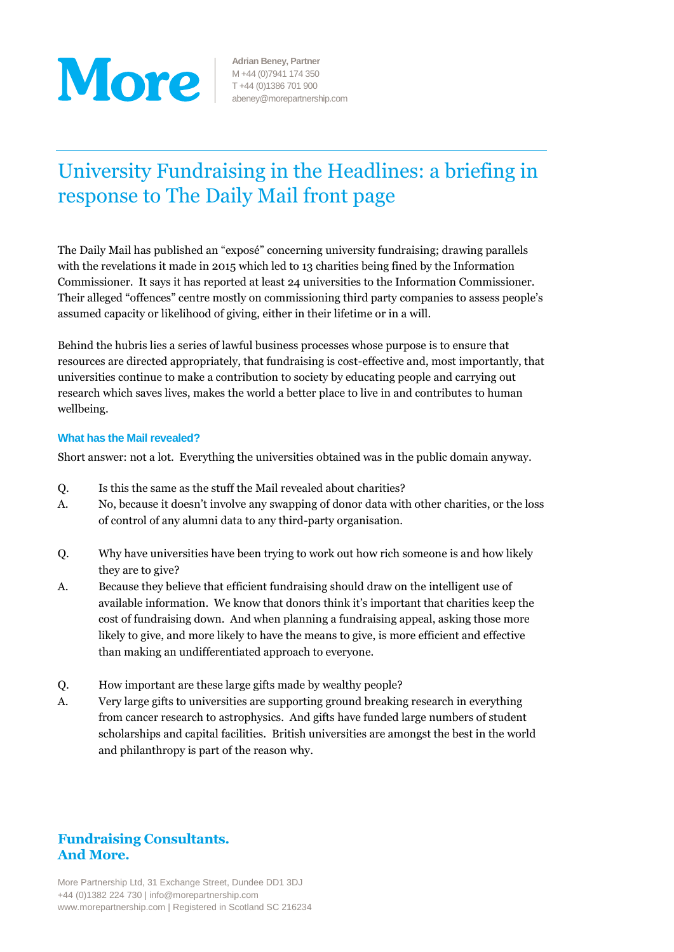

**Adrian Beney, Partner** M +44 (0)7941 174 350 T +44 (0)1386 701 900 abeney@morepartnership.com

# University Fundraising in the Headlines: a briefing in response to The Daily Mail front page

The Daily Mail has published an "exposé" concerning university fundraising; drawing parallels with the revelations it made in 2015 which led to 13 charities being fined by the Information Commissioner. It says it has reported at least 24 universities to the Information Commissioner. Their alleged "offences" centre mostly on commissioning third party companies to assess people's assumed capacity or likelihood of giving, either in their lifetime or in a will.

Behind the hubris lies a series of lawful business processes whose purpose is to ensure that resources are directed appropriately, that fundraising is cost-effective and, most importantly, that universities continue to make a contribution to society by educating people and carrying out research which saves lives, makes the world a better place to live in and contributes to human wellbeing.

#### **What has the Mail revealed?**

Short answer: not a lot. Everything the universities obtained was in the public domain anyway.

- Q. Is this the same as the stuff the Mail revealed about charities?
- A. No, because it doesn't involve any swapping of donor data with other charities, or the loss of control of any alumni data to any third-party organisation.
- Q. Why have universities have been trying to work out how rich someone is and how likely they are to give?
- A. Because they believe that efficient fundraising should draw on the intelligent use of available information. We know that donors think it's important that charities keep the cost of fundraising down. And when planning a fundraising appeal, asking those more likely to give, and more likely to have the means to give, is more efficient and effective than making an undifferentiated approach to everyone.
- Q. How important are these large gifts made by wealthy people?
- A. Very large gifts to universities are supporting ground breaking research in everything from cancer research to astrophysics. And gifts have funded large numbers of student scholarships and capital facilities. British universities are amongst the best in the world and philanthropy is part of the reason why.

# **Fundraising Consultants. And More.**

More Partnership Ltd, 31 Exchange Street, Dundee DD1 3DJ +44 (0)1382 224 730 | info@morepartnership.com www.morepartnership.com | Registered in Scotland SC 216234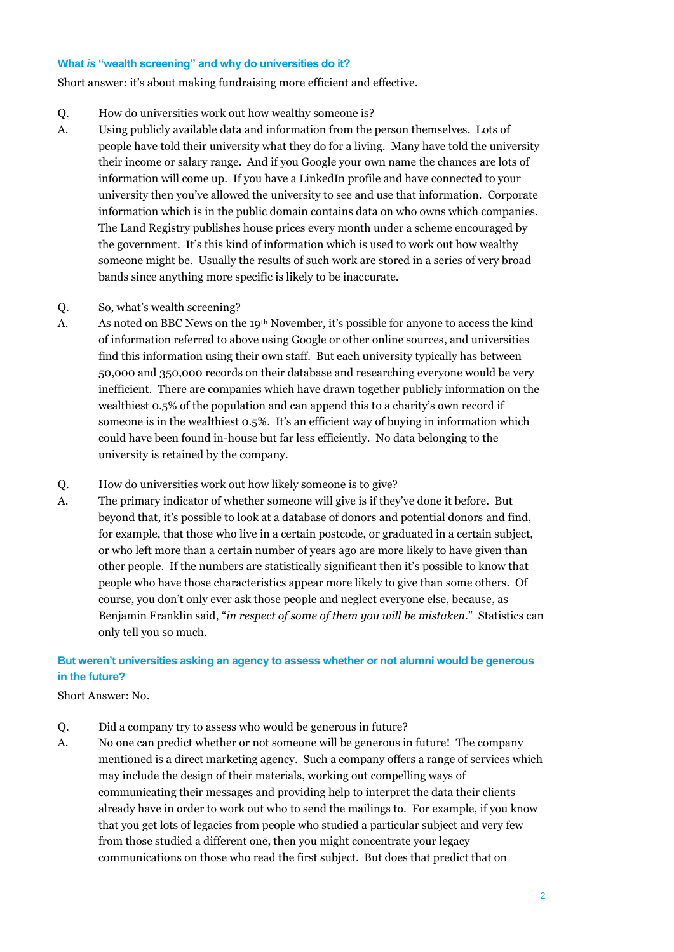#### **What** *is* **"wealth screening" and why do universities do it?**

Short answer: it's about making fundraising more efficient and effective.

- Q. How do universities work out how wealthy someone is?
- A. Using publicly available data and information from the person themselves. Lots of people have told their university what they do for a living. Many have told the university their income or salary range. And if you Google your own name the chances are lots of information will come up. If you have a LinkedIn profile and have connected to your university then you've allowed the university to see and use that information. Corporate information which is in the public domain contains data on who owns which companies. The Land Registry publishes house prices every month under a scheme encouraged by the government. It's this kind of information which is used to work out how wealthy someone might be. Usually the results of such work are stored in a series of very broad bands since anything more specific is likely to be inaccurate.
- Q. So, what's wealth screening?
- A. As noted on BBC News on the 19th November, it's possible for anyone to access the kind of information referred to above using Google or other online sources, and universities find this information using their own staff. But each university typically has between 50,000 and 350,000 records on their database and researching everyone would be very inefficient. There are companies which have drawn together publicly information on the wealthiest 0.5% of the population and can append this to a charity's own record if someone is in the wealthiest 0.5%. It's an efficient way of buying in information which could have been found in-house but far less efficiently. No data belonging to the university is retained by the company.
- Q. How do universities work out how likely someone is to give?
- A. The primary indicator of whether someone will give is if they've done it before. But beyond that, it's possible to look at a database of donors and potential donors and find, for example, that those who live in a certain postcode, or graduated in a certain subject, or who left more than a certain number of years ago are more likely to have given than other people. If the numbers are statistically significant then it's possible to know that people who have those characteristics appear more likely to give than some others. Of course, you don't only ever ask those people and neglect everyone else, because, as Benjamin Franklin said, "*in respect of some of them you will be mistaken*." Statistics can only tell you so much.

# **But weren't universities asking an agency to assess whether or not alumni would be generous in the future?**

### Short Answer: No.

- Q. Did a company try to assess who would be generous in future?
- A. No one can predict whether or not someone will be generous in future! The company mentioned is a direct marketing agency. Such a company offers a range of services which may include the design of their materials, working out compelling ways of communicating their messages and providing help to interpret the data their clients already have in order to work out who to send the mailings to. For example, if you know that you get lots of legacies from people who studied a particular subject and very few from those studied a different one, then you might concentrate your legacy communications on those who read the first subject. But does that predict that on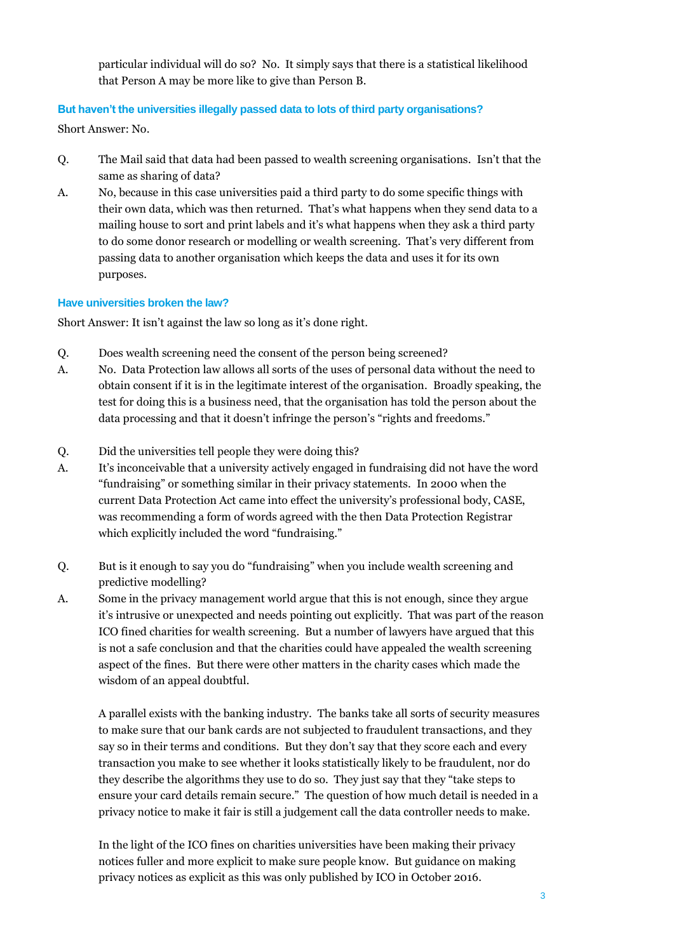particular individual will do so? No. It simply says that there is a statistical likelihood that Person A may be more like to give than Person B.

## **But haven't the universities illegally passed data to lots of third party organisations?**

Short Answer: No.

- Q. The Mail said that data had been passed to wealth screening organisations. Isn't that the same as sharing of data?
- A. No, because in this case universities paid a third party to do some specific things with their own data, which was then returned. That's what happens when they send data to a mailing house to sort and print labels and it's what happens when they ask a third party to do some donor research or modelling or wealth screening. That's very different from passing data to another organisation which keeps the data and uses it for its own purposes.

## **Have universities broken the law?**

Short Answer: It isn't against the law so long as it's done right.

- Q. Does wealth screening need the consent of the person being screened?
- A. No. Data Protection law allows all sorts of the uses of personal data without the need to obtain consent if it is in the legitimate interest of the organisation. Broadly speaking, the test for doing this is a business need, that the organisation has told the person about the data processing and that it doesn't infringe the person's "rights and freedoms."
- Q. Did the universities tell people they were doing this?
- A. It's inconceivable that a university actively engaged in fundraising did not have the word "fundraising" or something similar in their privacy statements. In 2000 when the current Data Protection Act came into effect the university's professional body, CASE, was recommending a form of words agreed with the then Data Protection Registrar which explicitly included the word "fundraising."
- Q. But is it enough to say you do "fundraising" when you include wealth screening and predictive modelling?
- A. Some in the privacy management world argue that this is not enough, since they argue it's intrusive or unexpected and needs pointing out explicitly. That was part of the reason ICO fined charities for wealth screening. But a number of lawyers have argued that this is not a safe conclusion and that the charities could have appealed the wealth screening aspect of the fines. But there were other matters in the charity cases which made the wisdom of an appeal doubtful.

A parallel exists with the banking industry. The banks take all sorts of security measures to make sure that our bank cards are not subjected to fraudulent transactions, and they say so in their terms and conditions. But they don't say that they score each and every transaction you make to see whether it looks statistically likely to be fraudulent, nor do they describe the algorithms they use to do so. They just say that they "take steps to ensure your card details remain secure." The question of how much detail is needed in a privacy notice to make it fair is still a judgement call the data controller needs to make.

In the light of the ICO fines on charities universities have been making their privacy notices fuller and more explicit to make sure people know. But guidance on making privacy notices as explicit as this was only published by ICO in October 2016.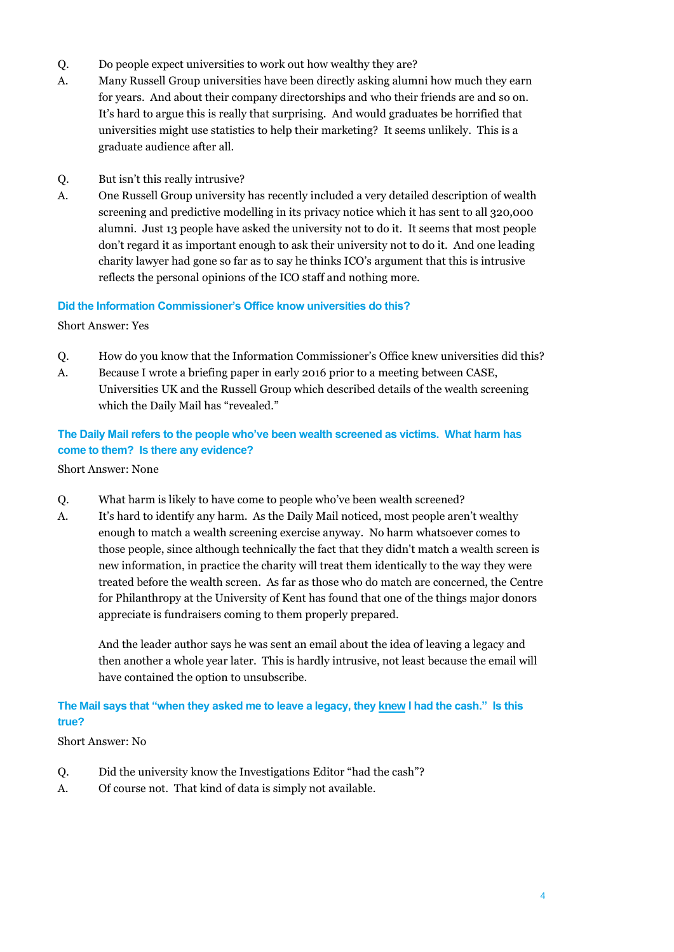- Q. Do people expect universities to work out how wealthy they are?
- A. Many Russell Group universities have been directly asking alumni how much they earn for years. And about their company directorships and who their friends are and so on. It's hard to argue this is really that surprising. And would graduates be horrified that universities might use statistics to help their marketing? It seems unlikely. This is a graduate audience after all.
- Q. But isn't this really intrusive?
- A. One Russell Group university has recently included a very detailed description of wealth screening and predictive modelling in its privacy notice which it has sent to all 320,000 alumni. Just 13 people have asked the university not to do it. It seems that most people don't regard it as important enough to ask their university not to do it. And one leading charity lawyer had gone so far as to say he thinks ICO's argument that this is intrusive reflects the personal opinions of the ICO staff and nothing more.

#### **Did the Information Commissioner's Office know universities do this?**

Short Answer: Yes

- Q. How do you know that the Information Commissioner's Office knew universities did this?
- A. Because I wrote a briefing paper in early 2016 prior to a meeting between CASE, Universities UK and the Russell Group which described details of the wealth screening which the Daily Mail has "revealed."

# **The Daily Mail refers to the people who've been wealth screened as victims. What harm has come to them? Is there any evidence?**

Short Answer: None

- Q. What harm is likely to have come to people who've been wealth screened?
- A. It's hard to identify any harm. As the Daily Mail noticed, most people aren't wealthy enough to match a wealth screening exercise anyway. No harm whatsoever comes to those people, since although technically the fact that they didn't match a wealth screen is new information, in practice the charity will treat them identically to the way they were treated before the wealth screen. As far as those who do match are concerned, the Centre for Philanthropy at the University of Kent has found that one of the things major donors appreciate is fundraisers coming to them properly prepared.

And the leader author says he was sent an email about the idea of leaving a legacy and then another a whole year later. This is hardly intrusive, not least because the email will have contained the option to unsubscribe.

## **The Mail says that "when they asked me to leave a legacy, they knew I had the cash." Is this true?**

Short Answer: No

- Q. Did the university know the Investigations Editor "had the cash"?
- A. Of course not. That kind of data is simply not available.